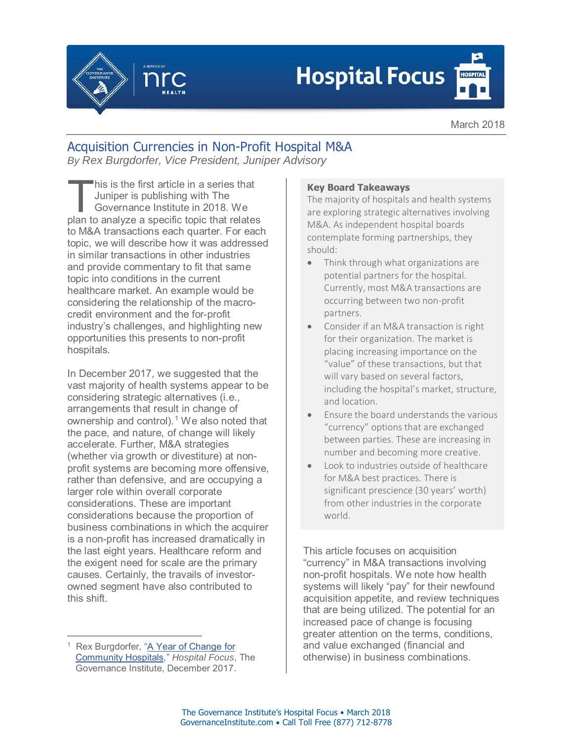

## **Hospital Focus**

March 2018

## Acquisition Currencies in Non-Profit Hospital M&A

*By Rex Burgdorfer, Vice President, Juniper Advisory*

his is the first article in a series that Juniper is publishing with The Governance Institute in 2018. We plan to analyze a specific topic that relates to M&A transactions each quarter. For each topic, we will describe how it was addressed in similar transactions in other industries and provide commentary to fit that same topic into conditions in the current healthcare market. An example would be considering the relationship of the macrocredit environment and the for-profit industry's challenges, and highlighting new opportunities this presents to non-profit hospitals. This is the first article in a series that<br>
Juniper is publishing with The<br>
Governance Institute in 2018. We<br>
The majority of hospitals<br>
are exploring strategic alt<br>
are exploring strategic alt

In December 2017, we suggested that the vast majority of health systems appear to be considering strategic alternatives (i.e., arrangements that result in change of ownership and control).<sup>1</sup> We also noted that the pace, and nature, of change will likely accelerate. Further, M&A strategies (whether via growth or divestiture) at nonprofit systems are becoming more offensive, rather than defensive, and are occupying a larger role within overall corporate considerations. These are important considerations because the proportion of business combinations in which the acquirer is a non-profit has increased dramatically in the last eight years. Healthcare reform and the exigent need for scale are the primary causes. Certainly, the travails of investorowned segment have also contributed to this shift.

The majority of hospitals and health systems are exploring strategic alternatives involving M&A. As independent hospital boards contemplate forming partnerships, they should:

- Think through what organizations are potential partners for the hospital. Currently, most M&A transactions are occurring between two non-profit partners.
- Consider if an M&A transaction is right for their organization. The market is placing increasing importance on the "value" of these transactions, but that will vary based on several factors, including the hospital's market, structure, and location.
- Ensure the board understands the various "currency" options that are exchanged between parties. These are increasing in number and becoming more creative.
- Look to industries outside of healthcare for M&A best practices. There is significant prescience (30 years' worth) from other industries in the corporate world.

This article focuses on acquisition "currency" in M&A transactions involving non-profit hospitals. We note how health systems will likely "pay" for their newfound acquisition appetite, and review techniques that are being utilized. The potential for an increased pace of change is focusing greater attention on the terms, conditions, and value exchanged (financial and otherwise) in business combinations.

<sup>-</sup><sup>1</sup> Rex Burgdorfer, "A Year of Change for Community Hospitals," *Hospital Focus*, The Governance Institute, December 2017.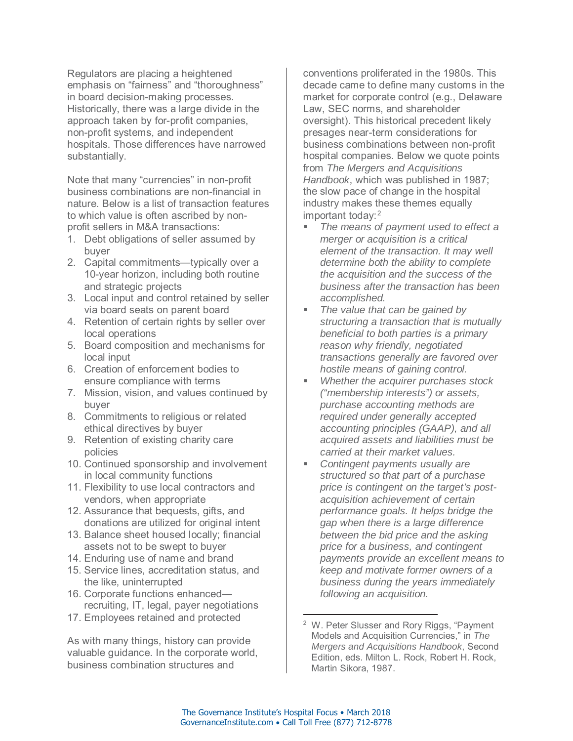Regulators are placing a heightened emphasis on "fairness" and "thoroughness" in board decision-making processes. Historically, there was a large divide in the approach taken by for-profit companies, non-profit systems, and independent hospitals. Those differences have narrowed substantially.

Note that many "currencies" in non-profit business combinations are non-financial in nature. Below is a list of transaction features to which value is often ascribed by nonprofit sellers in M&A transactions:

- 1. Debt obligations of seller assumed by buyer
- 2. Capital commitments—typically over a 10-year horizon, including both routine and strategic projects
- 3. Local input and control retained by seller via board seats on parent board
- 4. Retention of certain rights by seller over local operations
- 5. Board composition and mechanisms for local input
- 6. Creation of enforcement bodies to ensure compliance with terms
- 7. Mission, vision, and values continued by buyer
- 8. Commitments to religious or related ethical directives by buyer
- 9. Retention of existing charity care policies
- 10. Continued sponsorship and involvement in local community functions
- 11. Flexibility to use local contractors and vendors, when appropriate
- 12. Assurance that bequests, gifts, and donations are utilized for original intent
- 13. Balance sheet housed locally; financial assets not to be swept to buyer
- 14. Enduring use of name and brand
- 15. Service lines, accreditation status, and the like, uninterrupted
- 16. Corporate functions enhanced recruiting, IT, legal, payer negotiations
- 17. Employees retained and protected

As with many things, history can provide valuable guidance. In the corporate world, business combination structures and

conventions proliferated in the 1980s. This decade came to define many customs in the market for corporate control (e.g., Delaware Law, SEC norms, and shareholder oversight). This historical precedent likely presages near-term considerations for business combinations between non-profit hospital companies. Below we quote points from *The Mergers and Acquisitions Handbook*, which was published in 1987; the slow pace of change in the hospital industry makes these themes equally important today:<sup>2</sup>

- *The means of payment used to effect a merger or acquisition is a critical element of the transaction. It may well determine both the ability to complete the acquisition and the success of the business after the transaction has been accomplished.*
- *The value that can be gained by structuring a transaction that is mutually beneficial to both parties is a primary reason why friendly, negotiated transactions generally are favored over hostile means of gaining control.*
- *Whether the acquirer purchases stock ("membership interests") or assets, purchase accounting methods are required under generally accepted accounting principles (GAAP), and all acquired assets and liabilities must be carried at their market values.*
- *Contingent payments usually are structured so that part of a purchase price is contingent on the target's postacquisition achievement of certain performance goals. It helps bridge the gap when there is a large difference between the bid price and the asking price for a business, and contingent payments provide an excellent means to keep and motivate former owners of a business during the years immediately following an acquisition.*

 $\overline{a}$ 

<sup>&</sup>lt;sup>2</sup> W. Peter Slusser and Rory Riggs, "Payment Models and Acquisition Currencies," in *The Mergers and Acquisitions Handbook*, Second Edition, eds. Milton L. Rock, Robert H. Rock, Martin Sikora, 1987.